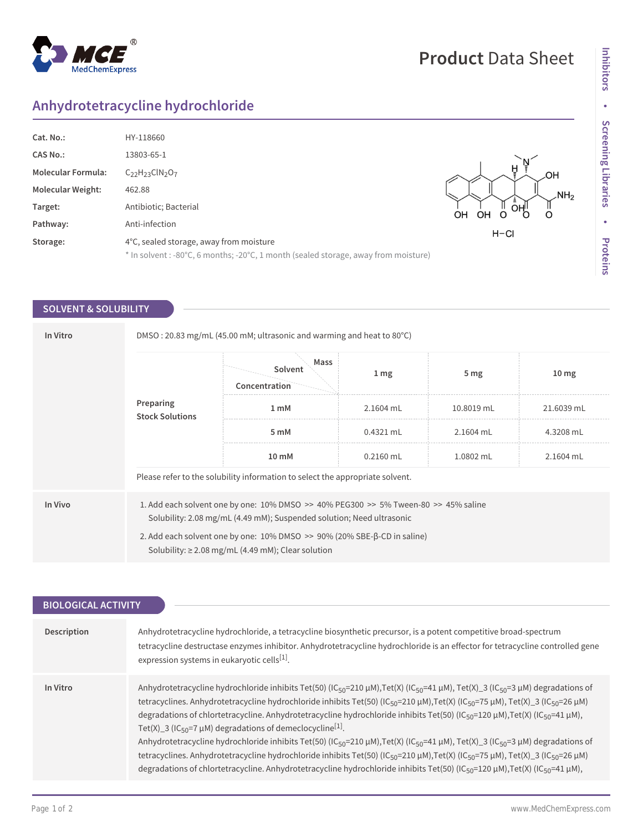# MedChemExpress

## **Product** Data Sheet

### **Anhydrotetracycline hydrochloride**

 $^{\circledR}$ 

| Cat. No.:                 | HY-118660                                                                           |                     |
|---------------------------|-------------------------------------------------------------------------------------|---------------------|
| <b>CAS No.:</b>           | 13803-65-1                                                                          |                     |
| <b>Molecular Formula:</b> | $C_{22}H_{23}CIN_{2}O_{7}$                                                          |                     |
| <b>Molecular Weight:</b>  | 462.88                                                                              | NH <sub>2</sub>     |
| Target:                   | Antibiotic; Bacterial                                                               | OН<br>OН<br>OН<br>O |
| Pathway:                  | Anti-infection                                                                      |                     |
| Storage:                  | 4°C, sealed storage, away from moisture                                             | $H - Cl$            |
|                           | * In solvent : -80°C, 6 months; -20°C, 1 month (sealed storage, away from moisture) |                     |

#### **SOLVENT & SOLUBILITY**

| In Vitro | DMSO: 20.83 mg/mL (45.00 mM; ultrasonic and warming and heat to 80 $^{\circ}$ C)                                                                                                                                                                                                                                                  |                                                                               |                  |                 |                  |  |
|----------|-----------------------------------------------------------------------------------------------------------------------------------------------------------------------------------------------------------------------------------------------------------------------------------------------------------------------------------|-------------------------------------------------------------------------------|------------------|-----------------|------------------|--|
|          | Preparing<br><b>Stock Solutions</b>                                                                                                                                                                                                                                                                                               | Mass<br>Solvent<br>Concentration                                              | $1 \, \text{mg}$ | 5 <sub>mg</sub> | 10 <sub>mg</sub> |  |
|          |                                                                                                                                                                                                                                                                                                                                   | 1 mM                                                                          | $2.1604$ mL      | 10.8019 mL      | 21.6039 mL       |  |
|          |                                                                                                                                                                                                                                                                                                                                   | 5 mM                                                                          | $0.4321$ mL      | $2.1604$ mL     | 4.3208 mL        |  |
|          |                                                                                                                                                                                                                                                                                                                                   | 10 mM                                                                         | $0.2160$ mL      | 1.0802 mL       | 2.1604 mL        |  |
|          |                                                                                                                                                                                                                                                                                                                                   | Please refer to the solubility information to select the appropriate solvent. |                  |                 |                  |  |
| In Vivo  | 1. Add each solvent one by one: $10\%$ DMSO $\geq$ 40% PEG300 $\geq$ 5% Tween-80 $\geq$ 45% saline<br>Solubility: 2.08 mg/mL (4.49 mM); Suspended solution; Need ultrasonic<br>2. Add each solvent one by one: $10\%$ DMSO $\geq$ 90% (20% SBE- $\beta$ -CD in saline)<br>Solubility: $\geq$ 2.08 mg/mL (4.49 mM); Clear solution |                                                                               |                  |                 |                  |  |
|          |                                                                                                                                                                                                                                                                                                                                   |                                                                               |                  |                 |                  |  |

| <b>BIOLOGICAL ACTIVITY</b> |                                                                                                                                                                                                                                                                                                                                                                                                                                                                                                                                                                                                                                                                                                                                                                                                                                                                                                                                                                                                                                                                                           |  |  |  |
|----------------------------|-------------------------------------------------------------------------------------------------------------------------------------------------------------------------------------------------------------------------------------------------------------------------------------------------------------------------------------------------------------------------------------------------------------------------------------------------------------------------------------------------------------------------------------------------------------------------------------------------------------------------------------------------------------------------------------------------------------------------------------------------------------------------------------------------------------------------------------------------------------------------------------------------------------------------------------------------------------------------------------------------------------------------------------------------------------------------------------------|--|--|--|
|                            |                                                                                                                                                                                                                                                                                                                                                                                                                                                                                                                                                                                                                                                                                                                                                                                                                                                                                                                                                                                                                                                                                           |  |  |  |
| Description                | Anhydrotetracycline hydrochloride, a tetracycline biosynthetic precursor, is a potent competitive broad-spectrum<br>tetracycline destructase enzymes inhibitor. Anhydrotetracycline hydrochloride is an effector for tetracycline controlled gene<br>expression systems in eukaryotic cells <sup>[1]</sup> .                                                                                                                                                                                                                                                                                                                                                                                                                                                                                                                                                                                                                                                                                                                                                                              |  |  |  |
| In Vitro                   | Anhydrotetracycline hydrochloride inhibits Tet(50) (IC <sub>50</sub> =210 µM), Tet(X) (IC <sub>50</sub> =41 µM), Tet(X) 3 (IC <sub>50</sub> =3 µM) degradations of<br>tetracyclines. Anhydrotetracycline hydrochloride inhibits Tet(50) (IC <sub>50</sub> =210 μM),Tet(X) (IC <sub>50</sub> =75 μM), Tet(X)_3 (IC <sub>50</sub> =26 μM)<br>degradations of chlortetracycline. Anhydrotetracycline hydrochloride inhibits Tet(50) (IC <sub>50</sub> =120 µM), Tet(X) (IC <sub>50</sub> =41 µM),<br>Tet(X)_3 (IC <sub>50</sub> =7 $\mu$ M) degradations of demeclocycline <sup>[1]</sup> .<br>Anhydrotetracycline hydrochloride inhibits Tet(50) (IC <sub>50</sub> =210 µM),Tet(X) (IC <sub>50</sub> =41 µM), Tet(X)_3 (IC <sub>50</sub> =3 µM) degradations of<br>tetracyclines. Anhydrotetracycline hydrochloride inhibits Tet(50) (IC <sub>50</sub> =210 μM),Tet(X) (IC <sub>50</sub> =75 μM), Tet(X)_3 (IC <sub>50</sub> =26 μM)<br>degradations of chlortetracycline. Anhydrotetracycline hydrochloride inhibits Tet(50) (IC <sub>50</sub> =120 µM), Tet(X) (IC <sub>50</sub> =41 µM), |  |  |  |